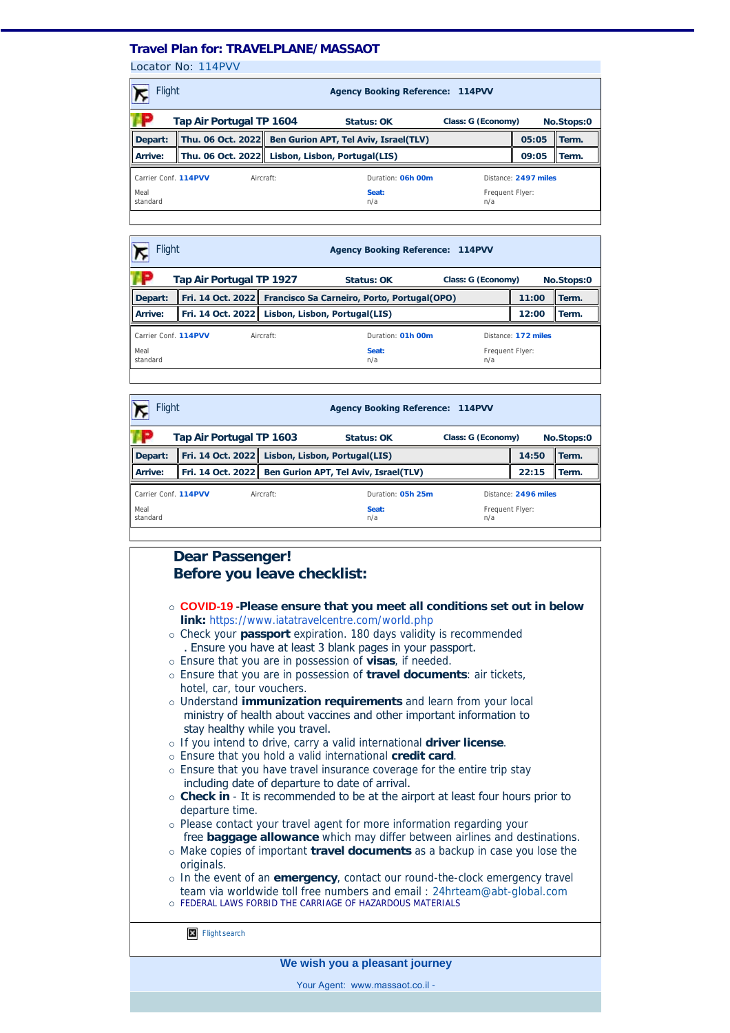## **Travel Plan for: TRAVELPLANE/MASSAOT**

Locator No: [114PVV](https://travel-management:44302/PassengersInPnr.aspx?pnr=114PVV&past=True&name=&office=&update=False&provider=AMSALEM&format=MjQgSG91cg==&brand=2&menu=False&fromversion=0&history=-1)

| Flight<br><b>Agency Booking Reference: 114PVV</b>            |  |                                                         |                                                 |                        |       |            |
|--------------------------------------------------------------|--|---------------------------------------------------------|-------------------------------------------------|------------------------|-------|------------|
| Tap Air Portugal TP 1604<br>Class: G (Economy)<br>Status: OK |  |                                                         |                                                 |                        |       | No.Stops:0 |
| Depart:                                                      |  | Thu. 06 Oct. 2022 Ben Gurion APT, Tel Aviv, Israel(TLV) |                                                 |                        | 05:05 | Term.      |
| Arrive:                                                      |  |                                                         | Thu. 06 Oct. 2022 Lisbon, Lisbon, Portugal(LIS) |                        | 09:05 | Term.      |
| Carrier Conf. 114PVV<br>Aircraft:                            |  |                                                         | Duration: 06h 00m                               | Distance: 2497 miles   |       |            |
| Meal<br>standard                                             |  |                                                         | Seat:<br>n/a                                    | Frequent Flyer:<br>n/a |       |            |
|                                                              |  |                                                         |                                                 |                        |       |            |

| <b>Flight</b>                          |  |  | <b>Agency Booking Reference: 114PVV</b>                       |                        |       |       |
|----------------------------------------|--|--|---------------------------------------------------------------|------------------------|-------|-------|
| Tap Air Portugal TP 1927<br>Status: OK |  |  | Class: G (Economy)                                            | No.Stops:0             |       |       |
| Depart:                                |  |  | Fri. 14 Oct. 2022 Francisco Sa Carneiro, Porto, Portugal(OPO) |                        | 11:00 | Term. |
| Arrive:                                |  |  | Fri. 14 Oct. 2022 Lisbon, Lisbon, Portugal(LIS)               |                        | 12:00 | Term. |
| Carrier Conf. 114PVV<br>Aircraft:      |  |  | Duration: 01h 00m                                             | Distance: 172 miles    |       |       |
| Meal<br>standard                       |  |  | Seat:<br>n/a                                                  | Frequent Flyer:<br>n/a |       |       |
|                                        |  |  |                                                               |                        |       |       |

| Flight                            |                          |                                                 | <b>Agency Booking Reference: 114PVV</b>                 |                 |                      |       |  |
|-----------------------------------|--------------------------|-------------------------------------------------|---------------------------------------------------------|-----------------|----------------------|-------|--|
|                                   | Tap Air Portugal TP 1603 | Status: OK                                      | Class: G (Economy)                                      |                 | No.Stops:0           |       |  |
| Depart:                           |                          | Fri. 14 Oct. 2022 Lisbon, Lisbon, Portugal(LIS) |                                                         | 14:50           | Term.                |       |  |
| Arrive:                           |                          |                                                 | Fri. 14 Oct. 2022 Ben Gurion APT, Tel Aviv, Israel(TLV) |                 | 22:15                | Term. |  |
| Carrier Conf. 114PVV<br>Aircraft: |                          |                                                 | Duration: 05h 25m                                       |                 | Distance: 2496 miles |       |  |
| Meal<br>standard                  |                          | Seat:<br>n/a                                    | n/a                                                     | Frequent Flyer: |                      |       |  |
|                                   |                          |                                                 |                                                         |                 |                      |       |  |

# **Dear Passenger! Before you leave checklist:**

- ¡ **COVID-19 -Please ensure that you meet all conditions set out in below link:** <https://www.iatatravelcentre.com/world.php>
- ¡ Check your **passport** expiration. 180 days validity is recommended . Ensure you have at least 3 blank pages in your passport.
- ¡ Ensure that you are in possession of **visas**, if needed.
- ¡ Ensure that you are in possession of **travel documents**: air tickets, hotel, car, tour vouchers.
- ¡ Understand **immunization requirements** and learn from your local ministry of health about vaccines and other important information to stay healthy while you travel.
- ¡ If you intend to drive, carry a valid international **driver license**.
- ¡ Ensure that you hold a valid international **credit card**.
- o Ensure that you have travel insurance coverage for the entire trip stay including date of departure to date of arrival.
- ¡ **Check in** It is recommended to be at the airport at least four hours prior to departure time.
- ¡ Please contact your travel agent for more information regarding your free **baggage allowance** which may differ between airlines and destinations. ¡ Make copies of important **travel documents** as a backup in case you lose the
- originals.
- ¡ In the event of an **emergency**, contact our round-the-clock emergency travel team via worldwide toll free numbers and email : [24hrteam@abt-global.com](mailto:24hrteam@abt-global.com) o FEDERAL LAWS FORBID THE CARRIAGE OF HAZARDOUS MATERIALS

**X** [Flight search](https://en.amsalem.co.il/?utm_source=itinerary&utm_medium=email&utm_campaign=email-itinerary&utm_content=upper-banner)

**We wish you a pleasant journey**

Your Agent: www.massaot.co.il -